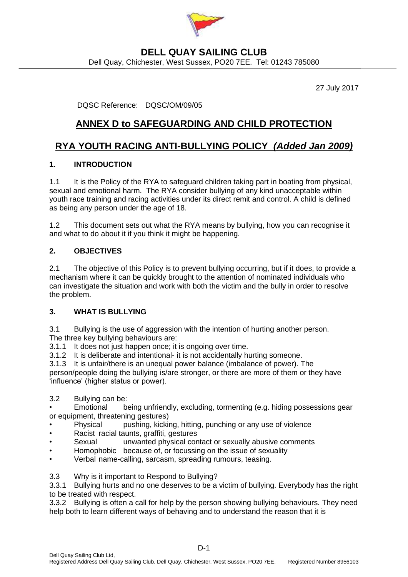

### **DELL QUAY SAILING CLUB** Dell Quay, Chichester, West Sussex, PO20 7EE. Tel: 01243 785080

27 July 2017

DQSC Reference: DQSC/OM/09/05

# **ANNEX D to SAFEGUARDING AND CHILD PROTECTION**

# **RYA YOUTH RACING ANTI-BULLYING POLICY** *(Added Jan 2009)*

### **1. INTRODUCTION**

1.1 It is the Policy of the RYA to safeguard children taking part in boating from physical, sexual and emotional harm. The RYA consider bullying of any kind unacceptable within youth race training and racing activities under its direct remit and control. A child is defined as being any person under the age of 18.

1.2 This document sets out what the RYA means by bullying, how you can recognise it and what to do about it if you think it might be happening.

### **2. OBJECTIVES**

2.1 The objective of this Policy is to prevent bullying occurring, but if it does, to provide a mechanism where it can be quickly brought to the attention of nominated individuals who can investigate the situation and work with both the victim and the bully in order to resolve the problem.

### **3. WHAT IS BULLYING**

3.1 Bullying is the use of aggression with the intention of hurting another person. The three key bullying behaviours are:

3.1.1 It does not just happen once; it is ongoing over time.

3.1.2 It is deliberate and intentional- it is not accidentally hurting someone.

3.1.3 It is unfair/there is an unequal power balance (imbalance of power). The

person/people doing the bullying is/are stronger, or there are more of them or they have 'influence' (higher status or power).

3.2 Bullying can be:

• Emotional being unfriendly, excluding, tormenting (e.g. hiding possessions gear or equipment, threatening gestures)

- **Physical** pushing, kicking, hitting, punching or any use of violence
- Racist racial taunts, graffiti, gestures
- Sexual unwanted physical contact or sexually abusive comments
- Homophobic because of, or focussing on the issue of sexuality
- Verbal name-calling, sarcasm, spreading rumours, teasing.
- 3.3 Why is it important to Respond to Bullying?

3.3.1 Bullying hurts and no one deserves to be a victim of bullying. Everybody has the right to be treated with respect.

3.3.2 Bullying is often a call for help by the person showing bullying behaviours. They need help both to learn different ways of behaving and to understand the reason that it is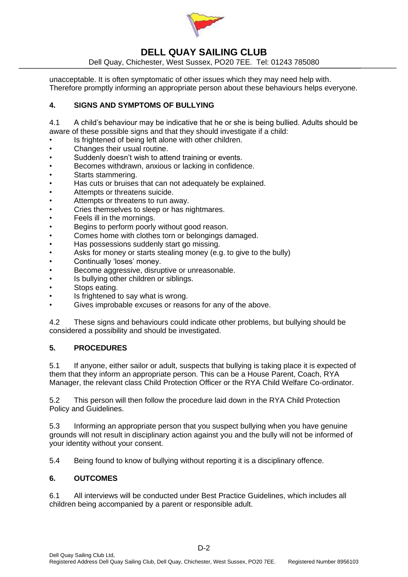

## **DELL QUAY SAILING CLUB**

Dell Quay, Chichester, West Sussex, PO20 7EE. Tel: 01243 785080

unacceptable. It is often symptomatic of other issues which they may need help with. Therefore promptly informing an appropriate person about these behaviours helps everyone.

#### **4. SIGNS AND SYMPTOMS OF BULLYING**

4.1 A child's behaviour may be indicative that he or she is being bullied. Adults should be aware of these possible signs and that they should investigate if a child:

- Is frightened of being left alone with other children.
- Changes their usual routine.
- Suddenly doesn't wish to attend training or events.
- Becomes withdrawn, anxious or lacking in confidence.
- Starts stammering.
- Has cuts or bruises that can not adequately be explained.
- Attempts or threatens suicide.
- Attempts or threatens to run away.
- Cries themselves to sleep or has nightmares.
- Feels ill in the mornings.
- Begins to perform poorly without good reason.
- Comes home with clothes torn or belongings damaged.
- Has possessions suddenly start go missing.
- Asks for money or starts stealing money (e.g. to give to the bully)
- Continually 'loses' money.
- Become aggressive, disruptive or unreasonable.
- Is bullying other children or siblings.
- Stops eating.
- Is frightened to say what is wrong.
- Gives improbable excuses or reasons for any of the above.

4.2 These signs and behaviours could indicate other problems, but bullying should be considered a possibility and should be investigated.

#### **5. PROCEDURES**

5.1 If anyone, either sailor or adult, suspects that bullying is taking place it is expected of them that they inform an appropriate person. This can be a House Parent, Coach, RYA Manager, the relevant class Child Protection Officer or the RYA Child Welfare Co-ordinator.

5.2 This person will then follow the procedure laid down in the RYA Child Protection Policy and Guidelines.

5.3 Informing an appropriate person that you suspect bullying when you have genuine grounds will not result in disciplinary action against you and the bully will not be informed of your identity without your consent.

5.4 Being found to know of bullying without reporting it is a disciplinary offence.

#### **6. OUTCOMES**

6.1 All interviews will be conducted under Best Practice Guidelines, which includes all children being accompanied by a parent or responsible adult.